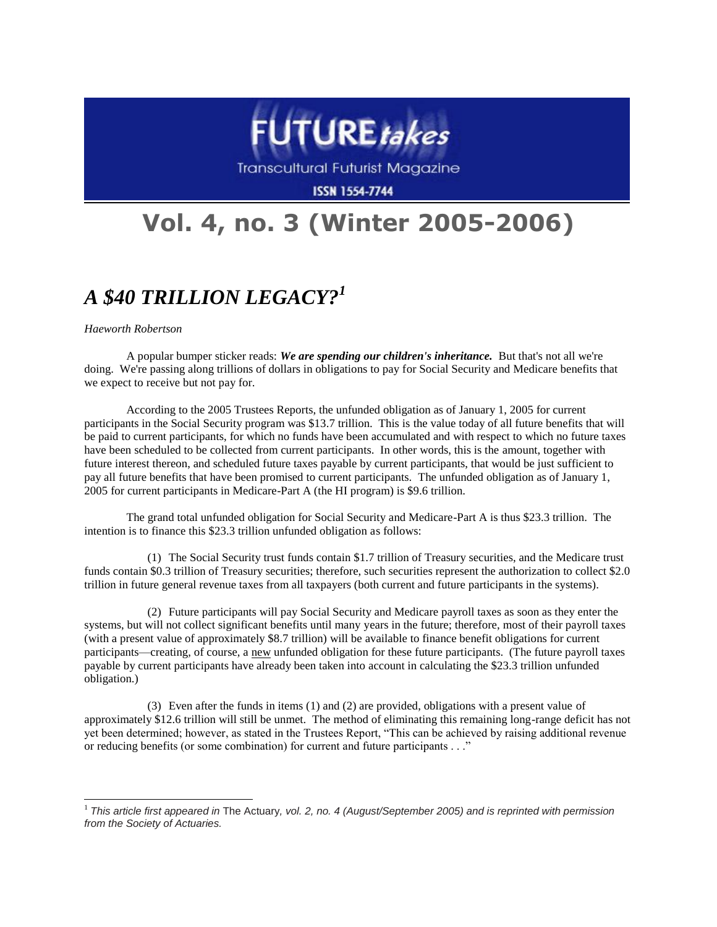

**Transcultural Futurist Magazine** 

**ISSN 1554-7744** 

## **Vol. 4, no. 3 (Winter 2005-2006)**

## *A \$40 TRILLION LEGACY?<sup>1</sup>*

*Haeworth Robertson*

l

A popular bumper sticker reads: *We are spending our children's inheritance.* But that's not all we're doing. We're passing along trillions of dollars in obligations to pay for Social Security and Medicare benefits that we expect to receive but not pay for.

According to the 2005 Trustees Reports, the unfunded obligation as of January 1, 2005 for current participants in the Social Security program was \$13.7 trillion. This is the value today of all future benefits that will be paid to current participants, for which no funds have been accumulated and with respect to which no future taxes have been scheduled to be collected from current participants. In other words, this is the amount, together with future interest thereon, and scheduled future taxes payable by current participants, that would be just sufficient to pay all future benefits that have been promised to current participants.The unfunded obligation as of January 1, 2005 for current participants in Medicare-Part A (the HI program) is \$9.6 trillion.

The grand total unfunded obligation for Social Security and Medicare-Part A is thus \$23.3 trillion. The intention is to finance this \$23.3 trillion unfunded obligation as follows:

(1) The Social Security trust funds contain \$1.7 trillion of Treasury securities, and the Medicare trust funds contain \$0.3 trillion of Treasury securities; therefore, such securities represent the authorization to collect \$2.0 trillion in future general revenue taxes from all taxpayers (both current and future participants in the systems).

(2) Future participants will pay Social Security and Medicare payroll taxes as soon as they enter the systems, but will not collect significant benefits until many years in the future; therefore, most of their payroll taxes (with a present value of approximately \$8.7 trillion) will be available to finance benefit obligations for current participants—creating, of course, a new unfunded obligation for these future participants. (The future payroll taxes payable by current participants have already been taken into account in calculating the \$23.3 trillion unfunded obligation.)

(3) Even after the funds in items (1) and (2) are provided, obligations with a present value of approximately \$12.6 trillion will still be unmet. The method of eliminating this remaining long-range deficit has not yet been determined; however, as stated in the Trustees Report, "This can be achieved by raising additional revenue or reducing benefits (or some combination) for current and future participants . . ."

<sup>1</sup> *This article first appeared in* The Actuary*, vol. 2, no. 4 (August/September 2005) and is reprinted with permission from the Society of Actuaries.*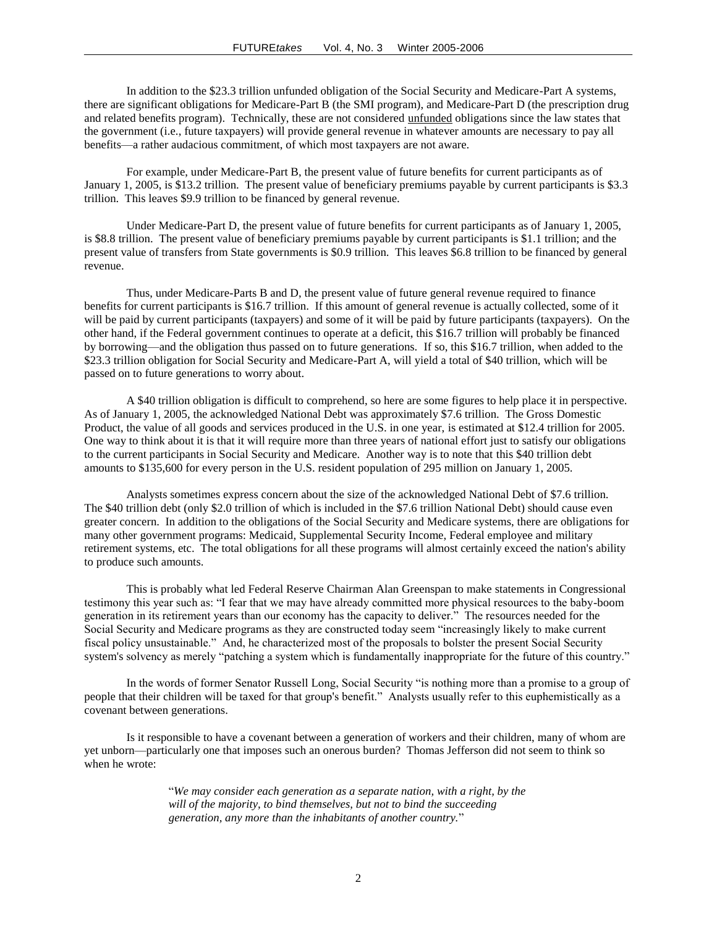In addition to the \$23.3 trillion unfunded obligation of the Social Security and Medicare-Part A systems, there are significant obligations for Medicare-Part B (the SMI program), and Medicare-Part D (the prescription drug and related benefits program). Technically, these are not considered unfunded obligations since the law states that the government (i.e., future taxpayers) will provide general revenue in whatever amounts are necessary to pay all benefits—a rather audacious commitment, of which most taxpayers are not aware.

For example, under Medicare-Part B, the present value of future benefits for current participants as of January 1, 2005, is \$13.2 trillion. The present value of beneficiary premiums payable by current participants is \$3.3 trillion. This leaves \$9.9 trillion to be financed by general revenue.

Under Medicare-Part D, the present value of future benefits for current participants as of January 1, 2005, is \$8.8 trillion. The present value of beneficiary premiums payable by current participants is \$1.1 trillion; and the present value of transfers from State governments is \$0.9 trillion. This leaves \$6.8 trillion to be financed by general revenue.

Thus, under Medicare-Parts B and D, the present value of future general revenue required to finance benefits for current participants is \$16.7 trillion. If this amount of general revenue is actually collected, some of it will be paid by current participants (taxpayers) and some of it will be paid by future participants (taxpayers). On the other hand, if the Federal government continues to operate at a deficit, this \$16.7 trillion will probably be financed by borrowing—and the obligation thus passed on to future generations. If so, this \$16.7 trillion, when added to the \$23.3 trillion obligation for Social Security and Medicare-Part A, will yield a total of \$40 trillion, which will be passed on to future generations to worry about.

A \$40 trillion obligation is difficult to comprehend, so here are some figures to help place it in perspective. As of January 1, 2005, the acknowledged National Debt was approximately \$7.6 trillion. The Gross Domestic Product, the value of all goods and services produced in the U.S. in one year, is estimated at \$12.4 trillion for 2005. One way to think about it is that it will require more than three years of national effort just to satisfy our obligations to the current participants in Social Security and Medicare. Another way is to note that this \$40 trillion debt amounts to \$135,600 for every person in the U.S. resident population of 295 million on January 1, 2005.

Analysts sometimes express concern about the size of the acknowledged National Debt of \$7.6 trillion. The \$40 trillion debt (only \$2.0 trillion of which is included in the \$7.6 trillion National Debt) should cause even greater concern. In addition to the obligations of the Social Security and Medicare systems, there are obligations for many other government programs: Medicaid, Supplemental Security Income, Federal employee and military retirement systems, etc. The total obligations for all these programs will almost certainly exceed the nation's ability to produce such amounts.

This is probably what led Federal Reserve Chairman Alan Greenspan to make statements in Congressional testimony this year such as: "I fear that we may have already committed more physical resources to the baby-boom generation in its retirement years than our economy has the capacity to deliver." The resources needed for the Social Security and Medicare programs as they are constructed today seem "increasingly likely to make current fiscal policy unsustainable." And, he characterized most of the proposals to bolster the present Social Security system's solvency as merely "patching a system which is fundamentally inappropriate for the future of this country."

In the words of former Senator Russell Long, Social Security "is nothing more than a promise to a group of people that their children will be taxed for that group's benefit." Analysts usually refer to this euphemistically as a covenant between generations.

Is it responsible to have a covenant between a generation of workers and their children, many of whom are yet unborn—particularly one that imposes such an onerous burden? Thomas Jefferson did not seem to think so when he wrote:

> "*We may consider each generation as a separate nation, with a right, by the will of the majority, to bind themselves, but not to bind the succeeding generation, any more than the inhabitants of another country.*"